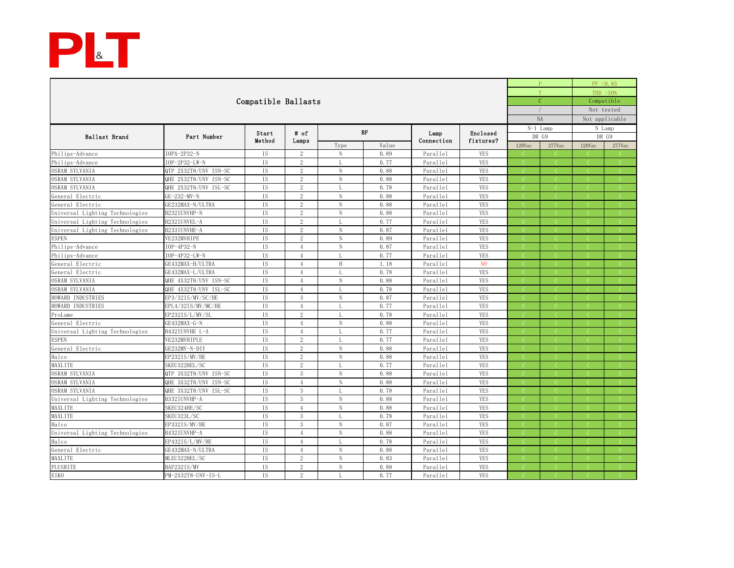

|                                 |                       |           |                |              |       |            |            |               | P             |               | PF <0.85       |
|---------------------------------|-----------------------|-----------|----------------|--------------|-------|------------|------------|---------------|---------------|---------------|----------------|
|                                 |                       |           |                |              |       |            |            |               | T             |               | THD >30%       |
| Compatible Ballasts             |                       |           |                |              |       |            |            |               |               | Compatible    |                |
|                                 |                       |           |                | Not tested   |       |            |            |               |               |               |                |
|                                 |                       |           |                |              |       |            |            |               | <b>NA</b>     |               | Not applicable |
|                                 | $N-1$ Lamp            |           | N Lamp         |              |       |            |            |               |               |               |                |
| <b>Ballast Brand</b>            | Part Number           | Start     | $#$ of         |              | BF    |            | Enclosed   | DR G9         |               | DR G9         |                |
|                                 |                       | Method    | Lamps          | Type         | Value | Connection | fixtures?  | 120Vac        | 277Vac        | 120Vac        | 277Vac         |
| Philips-Advance                 | IOPA-2P32-N           | <b>IS</b> | $\overline{2}$ | N            | 0.89  | Parallel   | <b>YES</b> |               |               |               |                |
| Philips-Advance                 | IOP-2P32-LW-N         | <b>IS</b> | $\mathbf{2}$   | L            | 0.77  | Parallel   | <b>YES</b> |               | <b>C</b>      |               |                |
| OSRAM SYLVANIA                  | QTP 2X32T8/UNV ISN-SC | <b>IS</b> | $\mathbf{2}$   | N            | 0.88  | Parallel   | <b>YES</b> |               |               |               |                |
| OSRAM SYLVANIA                  | QHE 2X32T8/UNV ISN-SC | <b>IS</b> | $\,2\,$        | $\mathbf N$  | 0.88  | Parallel   | <b>YES</b> | $\mathcal{C}$ | $\mathcal{C}$ |               |                |
| OSRAM SYLVANIA                  | QHE 2X32T8/UNV ISL-SC | <b>IS</b> | $\,2\,$        | L            | 0.78  | Parallel   | <b>YES</b> |               |               |               |                |
| General Electric                | GE-232-MV-N           | IS        | $\,2\,$        | $\mathbf N$  | 0.88  | Parallel   | <b>YES</b> |               |               |               |                |
| General Electric                | GE232MAX-N/ULTRA      | IS        | $\mathbf{2}$   | $_{\rm N}$   | 0.88  | Parallel   | <b>YES</b> | -C            | -C            |               |                |
| Universal Lighting Technologies | B232IUNVHP-N          | IS        | $\,2\,$        | $\mathbf N$  | 0.88  | Parallel   | <b>YES</b> |               |               |               |                |
| Universal Lighting Technologies | B232IUNVEL-A          | <b>IS</b> | $\overline{2}$ | $\mathbf{L}$ | 0.77  | Parallel   | <b>YES</b> | $\mathcal{C}$ | $\mathcal{C}$ | $\mathcal{C}$ |                |
| Universal Lighting Technologies | B233IUNVHE-A          | <b>IS</b> | $\,2\,$        | $\mathbf N$  | 0.87  | Parallel   | <b>YES</b> |               |               |               |                |
| <b>ESPEN</b>                    | VE232MVHIPE           | IS        | $\,2$          | $\rm N$      | 0.89  | Parallel   | <b>YES</b> |               |               |               |                |
| Philips-Advance                 | $IOP-4P32-N$          | <b>IS</b> | $\overline{4}$ | $\mathbf N$  | 0.87  | Parallel   | <b>YES</b> |               |               |               |                |
| Philips-Advance                 | IOP-4P32-LW-N         | <b>IS</b> | $\overline{4}$ | L            | 0.77  | Parallel   | <b>YES</b> |               |               |               |                |
| General Electric                | GE432MAX-H/ULTRA      | <b>IS</b> | $\overline{4}$ | H            | 1.18  | Parallel   | NO         | <b>C</b>      | -C            | -C            |                |
| General Electric                | GE432MAX-L/ULTRA      | <b>IS</b> | $\overline{4}$ | L            | 0.78  | Parallel   | <b>YES</b> |               |               |               |                |
| OSRAM SYLVANIA                  | QHE 4X32T8/UNV ISN-SC | <b>IS</b> | $\overline{4}$ | N            | 0.88  | Parallel   | <b>YES</b> |               |               |               |                |
| OSRAM SYLVANIA                  | QHE 4X32T8/UNV ISL-SC | <b>IS</b> | $\overline{4}$ | L            | 0.78  | Parallel   | <b>YES</b> |               |               |               |                |
| HOWARD INDUSTRIES               | EP3/32IS/MV/SC/HE     | <b>IS</b> | 3              | N            | 0.87  | Parallel   | <b>YES</b> |               |               |               |                |
| HOWARD INDUSTRIES               | EPL4/32IS/MV/MC/HE    | <b>IS</b> | $\overline{4}$ | L            | 0.77  | Parallel   | <b>YES</b> | <b>C</b>      | -C.           | -C            |                |
| ProLume                         | EP232IS/L/MV/SL       | IS        | $\overline{2}$ | L            | 0.78  | Parallel   | YES        |               |               |               |                |
| General Electric                | GE432MAX-G-N          | <b>IS</b> | $\overline{4}$ | $_{\rm N}$   | 0.88  | Parallel   | <b>YES</b> | <b>C</b>      | $\subset$     |               |                |
| Universal Lighting Technologies | B432IUNVHE L-A        | <b>IS</b> | $\overline{4}$ | L            | 0.77  | Parallel   | <b>YES</b> |               | <b>C</b>      |               |                |
| <b>ESPEN</b>                    | VE232MVHIPLE          | <b>IS</b> | $\,2$          | L            | 0.77  | Parallel   | <b>YES</b> |               |               |               |                |
| General Electric                | GE232MV-N-DIY         | <b>IS</b> | $\,2\,$        | N            | 0.88  | Parallel   | <b>YES</b> | C             | -C            |               |                |
| Halco                           | EP232IS/MV/HE         | <b>IS</b> | $\overline{2}$ | $_{\rm N}$   | 0.88  | Parallel   | <b>YES</b> |               |               |               |                |
| MAXLITE                         | SKEU322HEL/SC         | IS        | $\,2$          | L            | 0.77  | Parallel   | <b>YES</b> | -C            | $\mathcal{C}$ | -C            |                |
| OSRAM SYLVANIA                  | QTP 3X32T8/UNV ISN-SC | <b>IS</b> | 3              | N            | 0.88  | Parallel   | <b>YES</b> |               | -C            |               |                |
| OSRAM SYLVANIA                  | QHE 3X32T8/UNV ISN-SC | <b>IS</b> | $\overline{4}$ | $_{\rm N}$   | 0.88  | Parallel   | <b>YES</b> |               |               |               |                |
| OSRAM SYLVANIA                  | QHE 3X32T8/UNV ISL-SC | IS        | 3              | L            | 0.78  | Parallel   | <b>YES</b> |               |               |               |                |
| Universal Lighting Technologies | B332IUNVHP-A          | IS        | 3              | N            | 0.88  | Parallel   | <b>YES</b> |               |               |               |                |
| MAXLITE                         | SKEU324HE/SC          | <b>IS</b> | $\overline{4}$ | $_{\rm N}$   | 0.88  | Parallel   | <b>YES</b> | -C.           | $\mathbb{C}$  | -C            | - 0            |
| MAXLITE                         | SKEU323L/SC           | IS        | $\,3$          | L            | 0.78  | Parallel   | <b>YES</b> |               |               |               |                |
| Halco                           | EP332IS/MV/HE         | <b>IS</b> | $\overline{3}$ | $\mathbf N$  | 0.87  | Parallel   | <b>YES</b> | $\mathcal{C}$ | $\mathcal{C}$ | $\mathcal{C}$ |                |
| Universal Lighting Technologies | B432IUNVHP-A          | IS        | $\overline{4}$ | $\mathbf N$  | 0.88  | Parallel   | <b>YES</b> |               | $\mathcal{C}$ |               |                |
| Halco                           | EP432IS/L/MV/HE       | IS        | $\overline{4}$ | L            | 0.78  | Parallel   | <b>YES</b> |               |               |               |                |
| General Electric                | GE432MAX-N/ULTRA      | IS        | $\overline{4}$ | $\mathbf N$  | 0.88  | Parallel   | <b>YES</b> | -C            | -C            | -C            |                |
| MAXLITE                         | MLEU322HEL/SC         | IS        | $\overline{2}$ | $\mathbf N$  | 0.83  | Parallel   | <b>YES</b> |               |               |               |                |
| PLUSRITE                        | BAF232IS/MV           | IS        | $\,2$          | $\mathbf N$  | 0.89  | Parallel   | <b>YES</b> | -C            | <b>C</b>      | -C            |                |
| EIKO                            | PM-2X32T8-UNV-IS-L    | <b>IS</b> | $\overline{2}$ | $\mathbf{L}$ | 0.77  | Parallel   | <b>YES</b> |               |               |               |                |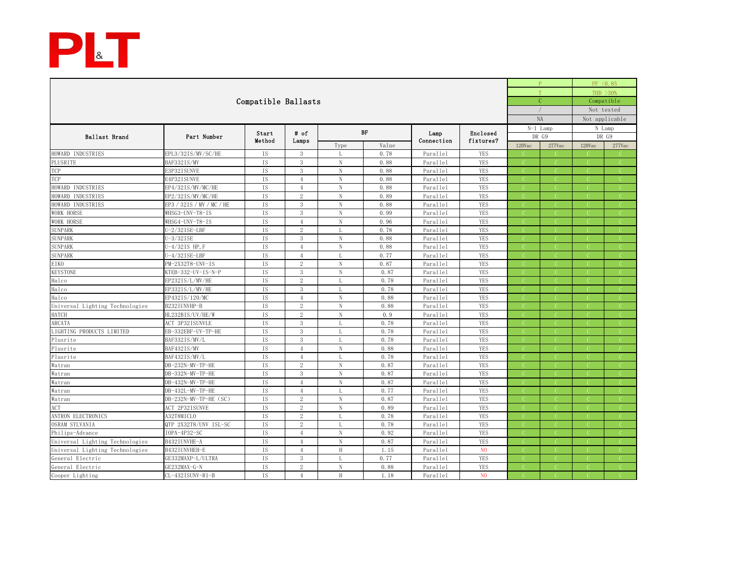

|                                 |                           |           |                |             |       |            |                |                     | $\mathbf{P}$  |            | PF <0.85       |
|---------------------------------|---------------------------|-----------|----------------|-------------|-------|------------|----------------|---------------------|---------------|------------|----------------|
|                                 |                           |           |                |             |       |            |                |                     | T             |            | THD >30%       |
| Compatible Ballasts             |                           |           |                |             |       |            |                |                     |               | Compatible |                |
|                                 |                           |           |                |             |       |            |                |                     |               |            | Not tested     |
|                                 |                           |           |                |             |       |            |                |                     | <b>NA</b>     |            | Not applicable |
| Lamp                            |                           |           |                |             |       |            |                |                     |               | N Lamp     |                |
| Ballast Brand                   | Part Number               | Start     | $#$ of         |             | BF    |            | Enclosed       | $N-1$ Lamp<br>DR G9 |               | DR G9      |                |
|                                 |                           | Method    | Lamps          | Type        | Value | Connection | fixtures?      | 120Vac              | 277Vac        | 120Vac     | 277Vac         |
| HOWARD INDUSTRIES               | EPL3/32IS/MV/SC/HE        | <b>IS</b> | 3              | L           | 0.78  | Parallel   | <b>YES</b>     |                     |               |            |                |
| PLUSRITE                        | BAF332IS/MV               | IS        | 3              | $\,$ N      | 0.88  | Parallel   | <b>YES</b>     | <b>C</b>            | C.            | -C         |                |
| TCP                             | E3P32ISUNVE               | <b>IS</b> | 3              | $\mathbf N$ | 0.88  | Parallel   | <b>YES</b>     |                     |               |            |                |
| TCP                             | E4P32ISUNVE               | <b>IS</b> | $\overline{4}$ | $\mathbf N$ | 0.88  | Parallel   | <b>YES</b>     | $\mathbb{C}$        | $\mathbb{C}$  |            |                |
| HOWARD INDUSTRIES               | EP4/32IS/MV/MC/HE         | <b>IS</b> | $\overline{4}$ | $\mathbf N$ | 0.88  | Parallel   | <b>YES</b>     |                     | -C            |            |                |
| HOWARD INDUSTRIES               | EP2/32IS/MV/MC/HE         | IS        | $\overline{2}$ | $\mathbf N$ | 0.89  | Parallel   | <b>YES</b>     |                     |               |            |                |
| HOWARD INDUSTRIES               | EP3 / 32IS / MV / MC / HE | <b>IS</b> | 3              | $_{\rm N}$  | 0.88  | Parallel   | <b>YES</b>     | -C                  | -C            |            |                |
| WORK HORSE                      | WHSG3-UNV-T8-IS           | <b>IS</b> | 3              | $\mathbf N$ | 0.99  | Parallel   | <b>YES</b>     |                     |               |            |                |
| <b>WORK HORSE</b>               | WHSG4-UNV-T8-IS           | <b>IS</b> | $\overline{4}$ | $\,$ N      | 0.96  | Parallel   | <b>YES</b>     | C                   | $\subset$     |            |                |
| <b>SUNPARK</b>                  | U-2/32ISE-LBF             | <b>IS</b> | $\,2$          | L           | 0.78  | Parallel   | <b>YES</b>     |                     |               |            |                |
| <b>SUNPARK</b>                  | U-3/32ISE                 | <b>IS</b> | 3              | $\mathbf N$ | 0.88  | Parallel   | <b>YES</b>     |                     |               |            |                |
| <b>SUNPARK</b>                  | U-4/32IS HP, F            | IS        | $\overline{4}$ | $\mathbf N$ | 0.88  | Parallel   | <b>YES</b>     |                     |               |            |                |
| SUNPARK                         | U-4/32ISE-LBF             | <b>IS</b> | $\overline{4}$ | L           | 0.77  | Parallel   | <b>YES</b>     |                     |               |            |                |
| EIKO                            | PM-2X32T8-UNV-IS          | IS        | 2              | $\,$ N      | 0.87  | Parallel   | <b>YES</b>     | -C                  | -C            | -0         |                |
| <b>KEYSTONE</b>                 | KTEB-332-UV-IS-N-P        | <b>IS</b> | 3              | N           | 0.87  | Parallel   | <b>YES</b>     |                     |               |            |                |
| Halco                           | EP232IS/L/MV/HE           | <b>IS</b> | $\,2\,$        | L           | 0.78  | Parallel   | <b>YES</b>     | $\subset$           | $\mathcal{C}$ |            |                |
| Halco                           | EP332IS/L/MV/HE           | IS        | $\mathbf{3}$   | L           | 0.78  | Parallel   | <b>YES</b>     |                     |               |            |                |
| Halco                           | EP432IS/120/MC            | IS        | $\overline{4}$ | $\mathbf N$ | 0.88  | Parallel   | <b>YES</b>     |                     |               |            |                |
| Universal Lighting Technologies | B232IUNVHP-B              | IS        | 2              | $\,$ N      | 0.88  | Parallel   | <b>YES</b>     | C                   | -C            | -C         |                |
| HATCH                           | HL232BIS/UV/HE/W          | IS        | $\overline{2}$ | $\mathbf N$ | 0.9   | Parallel   | <b>YES</b>     |                     |               |            |                |
| ARCATA                          | ACT 3P32ISUNVLE           | <b>IS</b> | 3              | L           | 0.78  | Parallel   | <b>YES</b>     | -C                  | <b>C</b>      | -C         |                |
| LIGHTING PRODUCTS LIMITED       | EB-332EBF-UV-TP-HE        | IS        | 3              | L           | 0.78  | Parallel   | <b>YES</b>     |                     | -C            |            |                |
| Plusrite                        | BAF332IS/MV/L             | IS        | 3              |             | 0.78  | Parallel   | <b>YES</b>     |                     |               |            |                |
| Plusrite                        | BAF432IS/MV               | <b>IS</b> | $\overline{4}$ | $\mathbf N$ | 0.88  | Parallel   | <b>YES</b>     |                     |               |            |                |
| Plusrite                        | BAF432IS/MV/L             | <b>IS</b> | $\overline{4}$ | L           | 0.78  | Parallel   | <b>YES</b>     |                     |               |            |                |
| Watran                          | DB-232N-MV-TP-HE          | IS        | $\overline{2}$ | $\mathbf N$ | 0.87  | Parallel   | <b>YES</b>     | -C.                 | $\mathbb{C}$  | -C         |                |
| Watran                          | DB-332N-MV-TP-HE          | <b>IS</b> | 3              | N           | 0.87  | Parallel   | <b>YES</b>     |                     |               |            |                |
| Watran                          | DB-432N-MV-TP-HE          | <b>IS</b> | $\overline{4}$ | $_{\rm N}$  | 0.87  | Parallel   | <b>YES</b>     |                     | $\mathcal{C}$ |            |                |
| Watran                          | DB-432L-MV-TP-HE          | <b>IS</b> | $^{4}$         | L           | 0.77  | Parallel   | <b>YES</b>     | -C                  | -C            |            |                |
| Watran                          | DB-232N-MV-TP-HE (SC)     | <b>IS</b> | $\overline{2}$ | N           | 0.87  | Parallel   | <b>YES</b>     |                     |               |            |                |
| ACT                             | ACT 2P32ISUNVE            | IS        | $\mathbf{2}$   | $\,$ N      | 0.89  | Parallel   | <b>YES</b>     | -C.                 | -C            | -C         | - 0            |
| ANTRON ELECTRONICS              | A32T8MICLO                | IS        | 2              | L           | 0.78  | Parallel   | <b>YES</b>     |                     |               |            |                |
| OSRAM SYLVANIA                  | QTP 2X32T8/UNV ISL-SC     | IS        | $\,2\,$        | L           | 0.78  | Parallel   | <b>YES</b>     | -C                  | $\mathcal{C}$ | -C         |                |
| Philips-Advance                 | IOPA-4P32-SC              | IS        | $\overline{4}$ | $\mathbf N$ | 0.92  | Parallel   | <b>YES</b>     |                     | $\mathcal{C}$ |            |                |
| Universal Lighting Technologies | B432IUNVHE-A              | IS        | $\overline{4}$ | $\mathbf N$ | 0.87  | Parallel   | <b>YES</b>     |                     |               |            |                |
| Universal Lighting Technologies | B432IUNVHEH-E             | IS        | $\overline{4}$ | $\,$ H      | 1.15  | Parallel   | N <sub>0</sub> | C                   | -C            | -C         |                |
| General Electric                | GE332MAXP-L/ULTRA         | IS        | $\sqrt{3}$     | L           | 0.77  | Parallel   | <b>YES</b>     |                     | -C            |            |                |
| General Electric                | GE232MAX-G-N              | IS        | $\,2\,$        | $\mathbf N$ | 0.88  | Parallel   | <b>YES</b>     | -C                  | <b>C</b>      | -C         |                |
| Cooper Lighting                 | CL-432ISUNV-R1-B          | <b>IS</b> | $\overline{4}$ | H           | 1.18  | Parallel   | N <sub>O</sub> |                     |               |            |                |